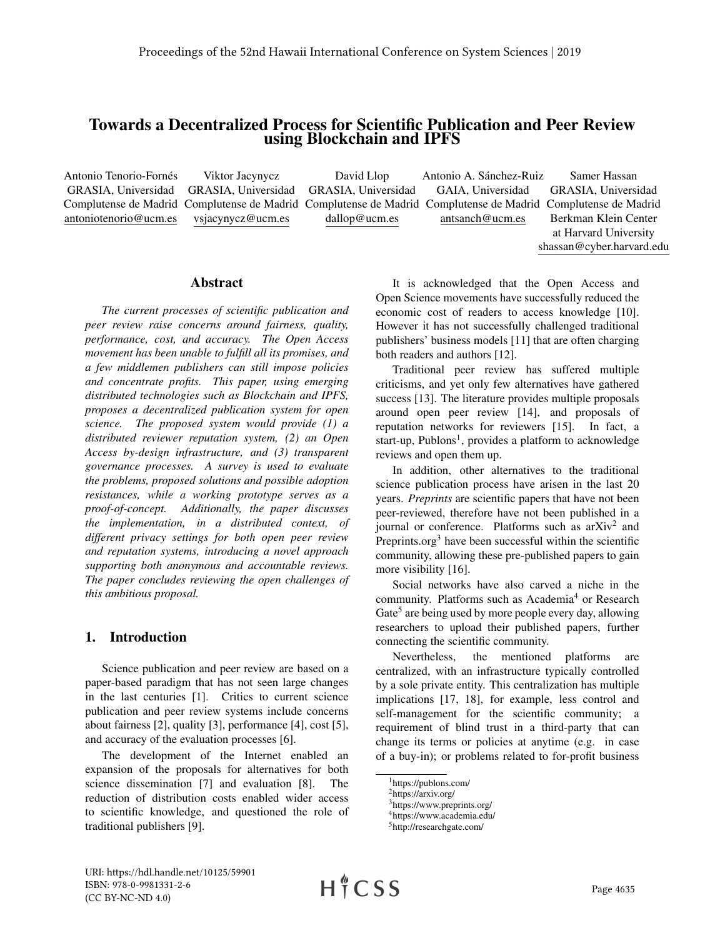# Towards a Decentralized Process for Scientific Publication and Peer Review using Blockchain and IPFS

Antonio Tenorio-Fornés GRASIA, Universidad Complutense de Madrid Complutense de Madrid Complutense de Madrid Complutense de Madrid Complutense de Madrid antoniotenorio@ucm.es Viktor Jacynycz GRASIA, Universidad vsjacynycz@ucm.es David Llop GRASIA, Universidad dallop@ucm.es Antonio A. Sánchez-Ruiz GAIA, Universidad antsanch@ucm.es Samer Hassan GRASIA, Universidad Berkman Klein Center at Harvard University

### Abstract

*The current processes of scientific publication and peer review raise concerns around fairness, quality, performance, cost, and accuracy. The Open Access movement has been unable to fulfill all its promises, and a few middlemen publishers can still impose policies and concentrate profits. This paper, using emerging distributed technologies such as Blockchain and IPFS, proposes a decentralized publication system for open science. The proposed system would provide (1) a distributed reviewer reputation system, (2) an Open Access by-design infrastructure, and (3) transparent governance processes. A survey is used to evaluate the problems, proposed solutions and possible adoption resistances, while a working prototype serves as a proof-of-concept. Additionally, the paper discusses the implementation, in a distributed context, of different privacy settings for both open peer review and reputation systems, introducing a novel approach supporting both anonymous and accountable reviews. The paper concludes reviewing the open challenges of this ambitious proposal.*

## 1. Introduction

Science publication and peer review are based on a paper-based paradigm that has not seen large changes in the last centuries [1]. Critics to current science publication and peer review systems include concerns about fairness [2], quality [3], performance [4], cost [5], and accuracy of the evaluation processes [6].

The development of the Internet enabled an expansion of the proposals for alternatives for both science dissemination [7] and evaluation [8]. The reduction of distribution costs enabled wider access to scientific knowledge, and questioned the role of traditional publishers [9].

It is acknowledged that the Open Access and Open Science movements have successfully reduced the economic cost of readers to access knowledge [10]. However it has not successfully challenged traditional publishers' business models [11] that are often charging both readers and authors [12].

shassan@cyber.harvard.edu

Traditional peer review has suffered multiple criticisms, and yet only few alternatives have gathered success [13]. The literature provides multiple proposals around open peer review [14], and proposals of reputation networks for reviewers [15]. In fact, a start-up, Publons<sup>1</sup>, provides a platform to acknowledge reviews and open them up.

In addition, other alternatives to the traditional science publication process have arisen in the last 20 years. *Preprints* are scientific papers that have not been peer-reviewed, therefore have not been published in a journal or conference. Platforms such as arXiv<sup>2</sup> and Preprints.org<sup>3</sup> have been successful within the scientific community, allowing these pre-published papers to gain more visibility [16].

Social networks have also carved a niche in the community. Platforms such as Academia<sup>4</sup> or Research Gate<sup>5</sup> are being used by more people every day, allowing researchers to upload their published papers, further connecting the scientific community.

Nevertheless, the mentioned platforms are centralized, with an infrastructure typically controlled by a sole private entity. This centralization has multiple implications [17, 18], for example, less control and self-management for the scientific community; a requirement of blind trust in a third-party that can change its terms or policies at anytime (e.g. in case of a buy-in); or problems related to for-profit business

HICSS

<sup>1</sup>https://publons.com/

<sup>2</sup>https://arxiv.org/

<sup>3</sup>https://www.preprints.org/

<sup>4</sup>https://www.academia.edu/ <sup>5</sup>http://researchgate.com/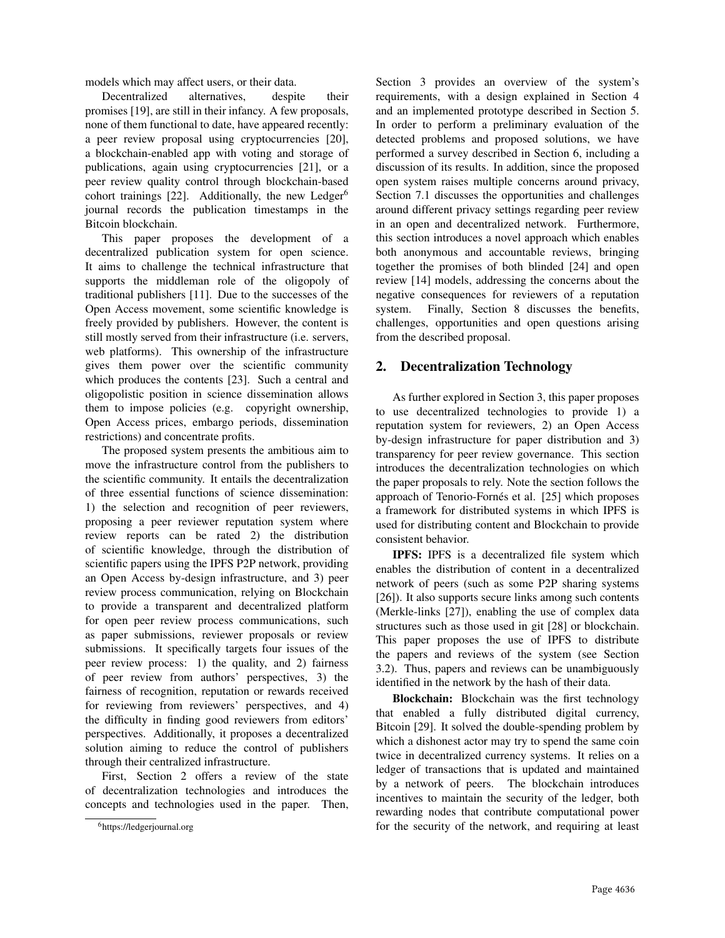models which may affect users, or their data.

Decentralized alternatives, despite their promises [19], are still in their infancy. A few proposals, none of them functional to date, have appeared recently: a peer review proposal using cryptocurrencies [20], a blockchain-enabled app with voting and storage of publications, again using cryptocurrencies [21], or a peer review quality control through blockchain-based cohort trainings [22]. Additionally, the new Ledger<sup>6</sup> journal records the publication timestamps in the Bitcoin blockchain.

This paper proposes the development of a decentralized publication system for open science. It aims to challenge the technical infrastructure that supports the middleman role of the oligopoly of traditional publishers [11]. Due to the successes of the Open Access movement, some scientific knowledge is freely provided by publishers. However, the content is still mostly served from their infrastructure (i.e. servers, web platforms). This ownership of the infrastructure gives them power over the scientific community which produces the contents [23]. Such a central and oligopolistic position in science dissemination allows them to impose policies (e.g. copyright ownership, Open Access prices, embargo periods, dissemination restrictions) and concentrate profits.

The proposed system presents the ambitious aim to move the infrastructure control from the publishers to the scientific community. It entails the decentralization of three essential functions of science dissemination: 1) the selection and recognition of peer reviewers, proposing a peer reviewer reputation system where review reports can be rated 2) the distribution of scientific knowledge, through the distribution of scientific papers using the IPFS P2P network, providing an Open Access by-design infrastructure, and 3) peer review process communication, relying on Blockchain to provide a transparent and decentralized platform for open peer review process communications, such as paper submissions, reviewer proposals or review submissions. It specifically targets four issues of the peer review process: 1) the quality, and 2) fairness of peer review from authors' perspectives, 3) the fairness of recognition, reputation or rewards received for reviewing from reviewers' perspectives, and 4) the difficulty in finding good reviewers from editors' perspectives. Additionally, it proposes a decentralized solution aiming to reduce the control of publishers through their centralized infrastructure.

First, Section 2 offers a review of the state of decentralization technologies and introduces the concepts and technologies used in the paper. Then,

Section 3 provides an overview of the system's requirements, with a design explained in Section 4 and an implemented prototype described in Section 5. In order to perform a preliminary evaluation of the detected problems and proposed solutions, we have performed a survey described in Section 6, including a discussion of its results. In addition, since the proposed open system raises multiple concerns around privacy, Section 7.1 discusses the opportunities and challenges around different privacy settings regarding peer review in an open and decentralized network. Furthermore, this section introduces a novel approach which enables both anonymous and accountable reviews, bringing together the promises of both blinded [24] and open review [14] models, addressing the concerns about the negative consequences for reviewers of a reputation system. Finally, Section 8 discusses the benefits, challenges, opportunities and open questions arising from the described proposal.

## 2. Decentralization Technology

As further explored in Section 3, this paper proposes to use decentralized technologies to provide 1) a reputation system for reviewers, 2) an Open Access by-design infrastructure for paper distribution and 3) transparency for peer review governance. This section introduces the decentralization technologies on which the paper proposals to rely. Note the section follows the approach of Tenorio-Fornés et al. [25] which proposes a framework for distributed systems in which IPFS is used for distributing content and Blockchain to provide consistent behavior.

IPFS: IPFS is a decentralized file system which enables the distribution of content in a decentralized network of peers (such as some P2P sharing systems [26]). It also supports secure links among such contents (Merkle-links [27]), enabling the use of complex data structures such as those used in git [28] or blockchain. This paper proposes the use of IPFS to distribute the papers and reviews of the system (see Section 3.2). Thus, papers and reviews can be unambiguously identified in the network by the hash of their data.

Blockchain: Blockchain was the first technology that enabled a fully distributed digital currency, Bitcoin [29]. It solved the double-spending problem by which a dishonest actor may try to spend the same coin twice in decentralized currency systems. It relies on a ledger of transactions that is updated and maintained by a network of peers. The blockchain introduces incentives to maintain the security of the ledger, both rewarding nodes that contribute computational power for the security of the network, and requiring at least

<sup>6</sup>https://ledgerjournal.org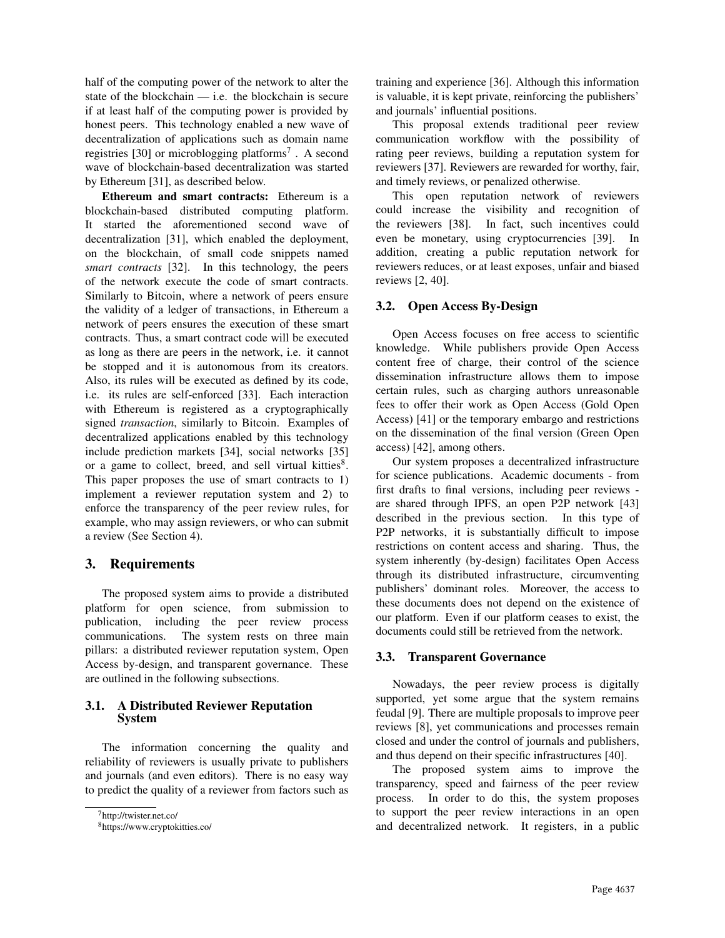half of the computing power of the network to alter the state of the blockchain — i.e. the blockchain is secure if at least half of the computing power is provided by honest peers. This technology enabled a new wave of decentralization of applications such as domain name registries [30] or microblogging platforms<sup>7</sup>. A second wave of blockchain-based decentralization was started by Ethereum [31], as described below.

Ethereum and smart contracts: Ethereum is a blockchain-based distributed computing platform. It started the aforementioned second wave of decentralization [31], which enabled the deployment, on the blockchain, of small code snippets named *smart contracts* [32]. In this technology, the peers of the network execute the code of smart contracts. Similarly to Bitcoin, where a network of peers ensure the validity of a ledger of transactions, in Ethereum a network of peers ensures the execution of these smart contracts. Thus, a smart contract code will be executed as long as there are peers in the network, i.e. it cannot be stopped and it is autonomous from its creators. Also, its rules will be executed as defined by its code, i.e. its rules are self-enforced [33]. Each interaction with Ethereum is registered as a cryptographically signed *transaction*, similarly to Bitcoin. Examples of decentralized applications enabled by this technology include prediction markets [34], social networks [35] or a game to collect, breed, and sell virtual kitties<sup>8</sup>. This paper proposes the use of smart contracts to 1) implement a reviewer reputation system and 2) to enforce the transparency of the peer review rules, for example, who may assign reviewers, or who can submit a review (See Section 4).

## 3. Requirements

The proposed system aims to provide a distributed platform for open science, from submission to publication, including the peer review process communications. The system rests on three main pillars: a distributed reviewer reputation system, Open Access by-design, and transparent governance. These are outlined in the following subsections.

## 3.1. A Distributed Reviewer Reputation System

The information concerning the quality and reliability of reviewers is usually private to publishers and journals (and even editors). There is no easy way to predict the quality of a reviewer from factors such as

training and experience [36]. Although this information is valuable, it is kept private, reinforcing the publishers' and journals' influential positions.

This proposal extends traditional peer review communication workflow with the possibility of rating peer reviews, building a reputation system for reviewers [37]. Reviewers are rewarded for worthy, fair, and timely reviews, or penalized otherwise.

This open reputation network of reviewers could increase the visibility and recognition of the reviewers [38]. In fact, such incentives could even be monetary, using cryptocurrencies [39]. In addition, creating a public reputation network for reviewers reduces, or at least exposes, unfair and biased reviews [2, 40].

## 3.2. Open Access By-Design

Open Access focuses on free access to scientific knowledge. While publishers provide Open Access content free of charge, their control of the science dissemination infrastructure allows them to impose certain rules, such as charging authors unreasonable fees to offer their work as Open Access (Gold Open Access) [41] or the temporary embargo and restrictions on the dissemination of the final version (Green Open access) [42], among others.

Our system proposes a decentralized infrastructure for science publications. Academic documents - from first drafts to final versions, including peer reviews are shared through IPFS, an open P2P network [43] described in the previous section. In this type of P2P networks, it is substantially difficult to impose restrictions on content access and sharing. Thus, the system inherently (by-design) facilitates Open Access through its distributed infrastructure, circumventing publishers' dominant roles. Moreover, the access to these documents does not depend on the existence of our platform. Even if our platform ceases to exist, the documents could still be retrieved from the network.

## 3.3. Transparent Governance

Nowadays, the peer review process is digitally supported, yet some argue that the system remains feudal [9]. There are multiple proposals to improve peer reviews [8], yet communications and processes remain closed and under the control of journals and publishers, and thus depend on their specific infrastructures [40].

The proposed system aims to improve the transparency, speed and fairness of the peer review process. In order to do this, the system proposes to support the peer review interactions in an open and decentralized network. It registers, in a public

<sup>7</sup>http://twister.net.co/

<sup>8</sup>https://www.cryptokitties.co/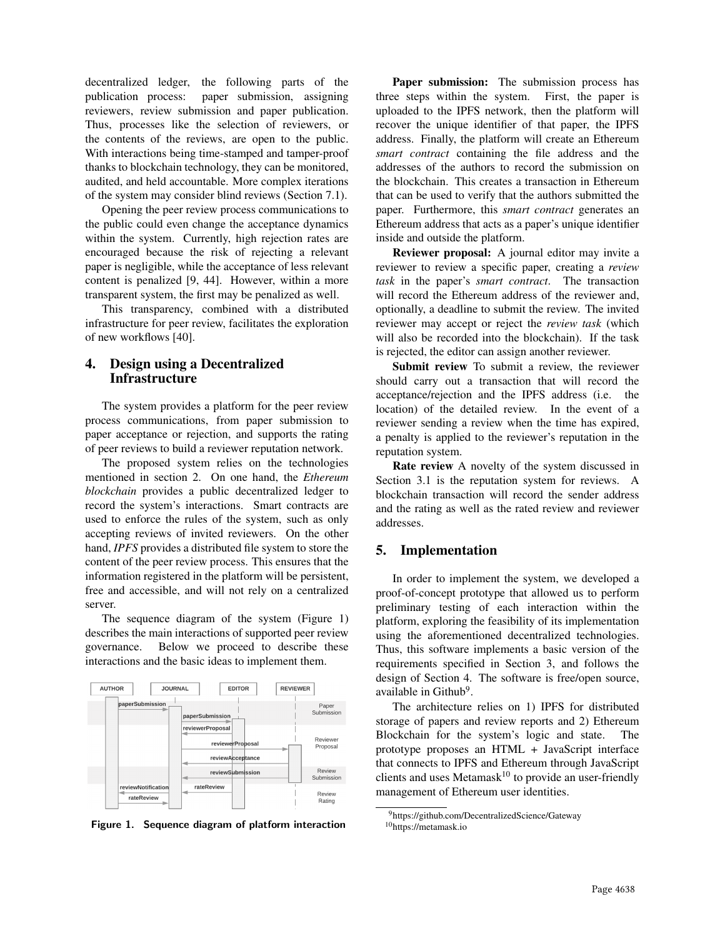decentralized ledger, the following parts of the publication process: paper submission, assigning reviewers, review submission and paper publication. Thus, processes like the selection of reviewers, or the contents of the reviews, are open to the public. With interactions being time-stamped and tamper-proof thanks to blockchain technology, they can be monitored, audited, and held accountable. More complex iterations of the system may consider blind reviews (Section 7.1).

Opening the peer review process communications to the public could even change the acceptance dynamics within the system. Currently, high rejection rates are encouraged because the risk of rejecting a relevant paper is negligible, while the acceptance of less relevant content is penalized [9, 44]. However, within a more transparent system, the first may be penalized as well.

This transparency, combined with a distributed infrastructure for peer review, facilitates the exploration of new workflows [40].

## 4. Design using a Decentralized **Infrastructure**

The system provides a platform for the peer review process communications, from paper submission to paper acceptance or rejection, and supports the rating of peer reviews to build a reviewer reputation network.

The proposed system relies on the technologies mentioned in section 2. On one hand, the *Ethereum blockchain* provides a public decentralized ledger to record the system's interactions. Smart contracts are used to enforce the rules of the system, such as only accepting reviews of invited reviewers. On the other hand, *IPFS* provides a distributed file system to store the content of the peer review process. This ensures that the information registered in the platform will be persistent, free and accessible, and will not rely on a centralized server.

The sequence diagram of the system (Figure 1) describes the main interactions of supported peer review governance. Below we proceed to describe these interactions and the basic ideas to implement them.



Figure 1. Sequence diagram of platform interaction

Paper submission: The submission process has three steps within the system. First, the paper is uploaded to the IPFS network, then the platform will recover the unique identifier of that paper, the IPFS address. Finally, the platform will create an Ethereum *smart contract* containing the file address and the addresses of the authors to record the submission on the blockchain. This creates a transaction in Ethereum that can be used to verify that the authors submitted the paper. Furthermore, this *smart contract* generates an Ethereum address that acts as a paper's unique identifier inside and outside the platform.

Reviewer proposal: A journal editor may invite a reviewer to review a specific paper, creating a *review task* in the paper's *smart contract*. The transaction will record the Ethereum address of the reviewer and, optionally, a deadline to submit the review. The invited reviewer may accept or reject the *review task* (which will also be recorded into the blockchain). If the task is rejected, the editor can assign another reviewer.

Submit review To submit a review, the reviewer should carry out a transaction that will record the acceptance/rejection and the IPFS address (i.e. the location) of the detailed review. In the event of a reviewer sending a review when the time has expired, a penalty is applied to the reviewer's reputation in the reputation system.

Rate review A novelty of the system discussed in Section 3.1 is the reputation system for reviews. A blockchain transaction will record the sender address and the rating as well as the rated review and reviewer addresses.

### 5. Implementation

In order to implement the system, we developed a proof-of-concept prototype that allowed us to perform preliminary testing of each interaction within the platform, exploring the feasibility of its implementation using the aforementioned decentralized technologies. Thus, this software implements a basic version of the requirements specified in Section 3, and follows the design of Section 4. The software is free/open source, available in Github<sup>9</sup>.

The architecture relies on 1) IPFS for distributed storage of papers and review reports and 2) Ethereum Blockchain for the system's logic and state. The prototype proposes an HTML + JavaScript interface that connects to IPFS and Ethereum through JavaScript clients and uses Metamask<sup>10</sup> to provide an user-friendly management of Ethereum user identities.

<sup>9</sup>https://github.com/DecentralizedScience/Gateway <sup>10</sup>https://metamask.io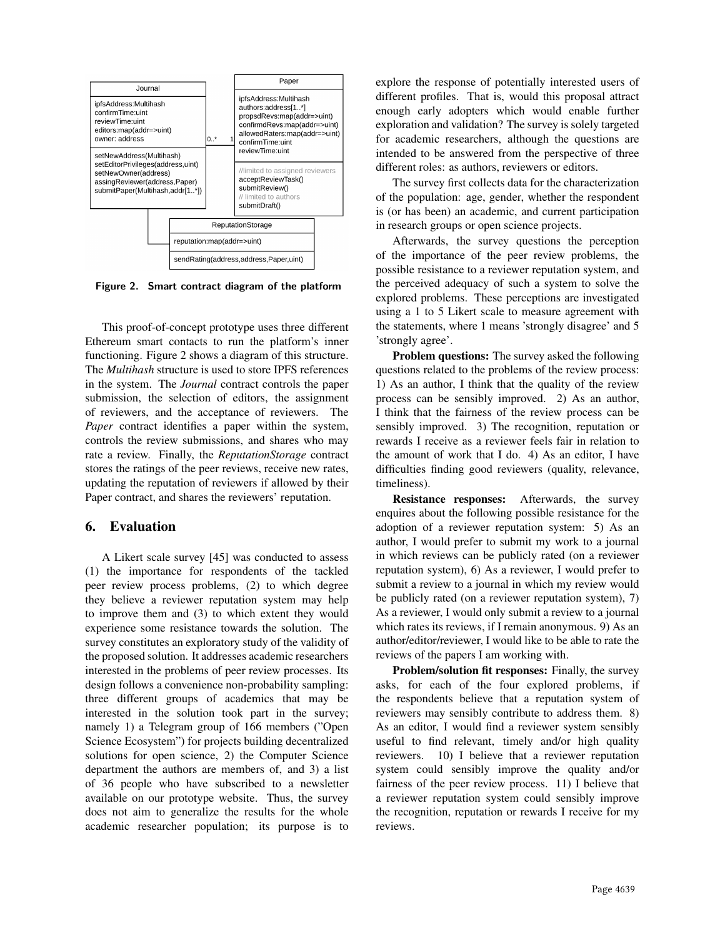

Figure 2. Smart contract diagram of the platform

This proof-of-concept prototype uses three different Ethereum smart contacts to run the platform's inner functioning. Figure 2 shows a diagram of this structure. The *Multihash* structure is used to store IPFS references in the system. The *Journal* contract controls the paper submission, the selection of editors, the assignment of reviewers, and the acceptance of reviewers. The *Paper* contract identifies a paper within the system, controls the review submissions, and shares who may rate a review. Finally, the *ReputationStorage* contract stores the ratings of the peer reviews, receive new rates, updating the reputation of reviewers if allowed by their Paper contract, and shares the reviewers' reputation.

## 6. Evaluation

A Likert scale survey [45] was conducted to assess (1) the importance for respondents of the tackled peer review process problems, (2) to which degree they believe a reviewer reputation system may help to improve them and (3) to which extent they would experience some resistance towards the solution. The survey constitutes an exploratory study of the validity of the proposed solution. It addresses academic researchers interested in the problems of peer review processes. Its design follows a convenience non-probability sampling: three different groups of academics that may be interested in the solution took part in the survey; namely 1) a Telegram group of 166 members ("Open Science Ecosystem") for projects building decentralized solutions for open science, 2) the Computer Science department the authors are members of, and 3) a list of 36 people who have subscribed to a newsletter available on our prototype website. Thus, the survey does not aim to generalize the results for the whole academic researcher population; its purpose is to

explore the response of potentially interested users of different profiles. That is, would this proposal attract enough early adopters which would enable further exploration and validation? The survey is solely targeted for academic researchers, although the questions are intended to be answered from the perspective of three different roles: as authors, reviewers or editors.

The survey first collects data for the characterization of the population: age, gender, whether the respondent is (or has been) an academic, and current participation in research groups or open science projects.

Afterwards, the survey questions the perception of the importance of the peer review problems, the possible resistance to a reviewer reputation system, and the perceived adequacy of such a system to solve the explored problems. These perceptions are investigated using a 1 to 5 Likert scale to measure agreement with the statements, where 1 means 'strongly disagree' and 5 'strongly agree'.

Problem questions: The survey asked the following questions related to the problems of the review process: 1) As an author, I think that the quality of the review process can be sensibly improved. 2) As an author, I think that the fairness of the review process can be sensibly improved. 3) The recognition, reputation or rewards I receive as a reviewer feels fair in relation to the amount of work that I do. 4) As an editor, I have difficulties finding good reviewers (quality, relevance, timeliness).

Resistance responses: Afterwards, the survey enquires about the following possible resistance for the adoption of a reviewer reputation system: 5) As an author, I would prefer to submit my work to a journal in which reviews can be publicly rated (on a reviewer reputation system), 6) As a reviewer, I would prefer to submit a review to a journal in which my review would be publicly rated (on a reviewer reputation system), 7) As a reviewer, I would only submit a review to a journal which rates its reviews, if I remain anonymous. 9) As an author/editor/reviewer, I would like to be able to rate the reviews of the papers I am working with.

Problem/solution fit responses: Finally, the survey asks, for each of the four explored problems, if the respondents believe that a reputation system of reviewers may sensibly contribute to address them. 8) As an editor, I would find a reviewer system sensibly useful to find relevant, timely and/or high quality reviewers. 10) I believe that a reviewer reputation system could sensibly improve the quality and/or fairness of the peer review process. 11) I believe that a reviewer reputation system could sensibly improve the recognition, reputation or rewards I receive for my reviews.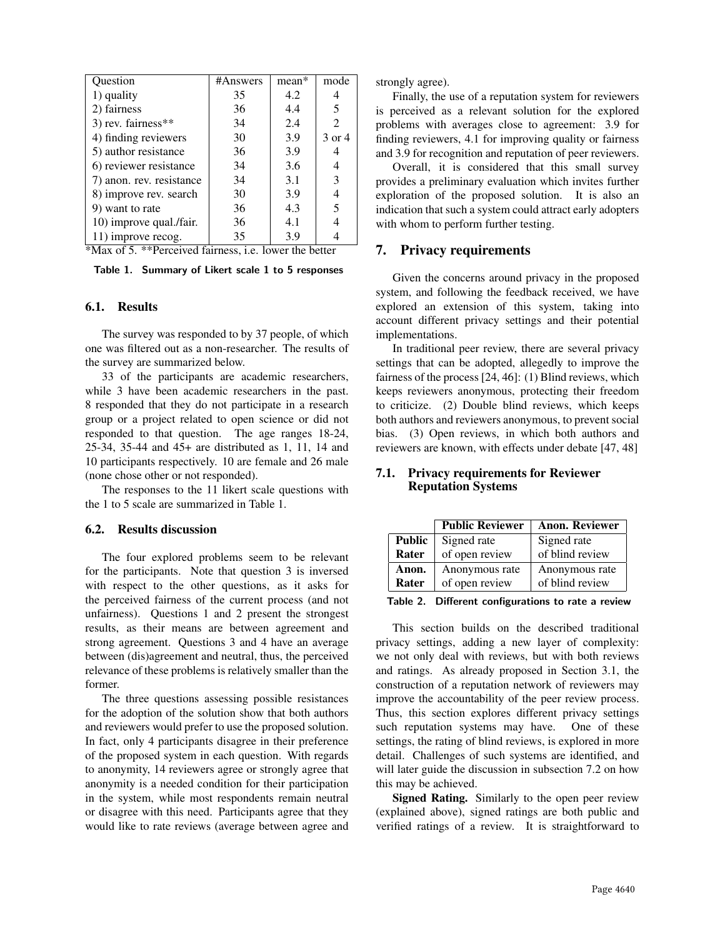| Question                                               | #Answers | mean* | mode                        |  |
|--------------------------------------------------------|----------|-------|-----------------------------|--|
| 1) quality                                             | 35       | 4.2   | 4                           |  |
| 2) fairness                                            | 36       | 4.4   | 5                           |  |
| 3) rev. fairness**                                     | 34       | 2.4   | $\mathcal{D}_{\mathcal{L}}$ |  |
| 4) finding reviewers                                   | 30       | 3.9   | 3 or 4                      |  |
| 5) author resistance                                   | 36       | 3.9   | 4                           |  |
| 6) reviewer resistance                                 | 34       | 3.6   | 4                           |  |
| 7) anon. rev. resistance                               | 34       | 3.1   | 3                           |  |
| 8) improve rev. search                                 | 30       | 3.9   |                             |  |
| 9) want to rate                                        | 36       | 4.3   | 5                           |  |
| 10) improve qual./fair.                                | 36       | 4.1   |                             |  |
| 11) improve recog.                                     | 35       | 3.9   |                             |  |
| *Max of 5. **Perceived fairness, i.e. lower the better |          |       |                             |  |

Table 1. Summary of Likert scale 1 to 5 responses

### 6.1. Results

The survey was responded to by 37 people, of which one was filtered out as a non-researcher. The results of the survey are summarized below.

33 of the participants are academic researchers, while 3 have been academic researchers in the past. 8 responded that they do not participate in a research group or a project related to open science or did not responded to that question. The age ranges 18-24, 25-34, 35-44 and 45+ are distributed as 1, 11, 14 and 10 participants respectively. 10 are female and 26 male (none chose other or not responded).

The responses to the 11 likert scale questions with the 1 to 5 scale are summarized in Table 1.

#### 6.2. Results discussion

The four explored problems seem to be relevant for the participants. Note that question 3 is inversed with respect to the other questions, as it asks for the perceived fairness of the current process (and not unfairness). Questions 1 and 2 present the strongest results, as their means are between agreement and strong agreement. Questions 3 and 4 have an average between (dis)agreement and neutral, thus, the perceived relevance of these problems is relatively smaller than the former.

The three questions assessing possible resistances for the adoption of the solution show that both authors and reviewers would prefer to use the proposed solution. In fact, only 4 participants disagree in their preference of the proposed system in each question. With regards to anonymity, 14 reviewers agree or strongly agree that anonymity is a needed condition for their participation in the system, while most respondents remain neutral or disagree with this need. Participants agree that they would like to rate reviews (average between agree and strongly agree).

Finally, the use of a reputation system for reviewers is perceived as a relevant solution for the explored problems with averages close to agreement: 3.9 for finding reviewers, 4.1 for improving quality or fairness and 3.9 for recognition and reputation of peer reviewers.

Overall, it is considered that this small survey provides a preliminary evaluation which invites further exploration of the proposed solution. It is also an indication that such a system could attract early adopters with whom to perform further testing.

### 7. Privacy requirements

Given the concerns around privacy in the proposed system, and following the feedback received, we have explored an extension of this system, taking into account different privacy settings and their potential implementations.

In traditional peer review, there are several privacy settings that can be adopted, allegedly to improve the fairness of the process [24, 46]: (1) Blind reviews, which keeps reviewers anonymous, protecting their freedom to criticize. (2) Double blind reviews, which keeps both authors and reviewers anonymous, to prevent social bias. (3) Open reviews, in which both authors and reviewers are known, with effects under debate [47, 48]

### 7.1. Privacy requirements for Reviewer Reputation Systems

|               | <b>Public Reviewer</b> | <b>Anon. Reviewer</b> |
|---------------|------------------------|-----------------------|
| <b>Public</b> | Signed rate            | Signed rate           |
| Rater         | of open review         | of blind review       |
| Anon.         | Anonymous rate         | Anonymous rate        |
| Rater         | of open review         | of blind review       |

Table 2. Different configurations to rate a review

This section builds on the described traditional privacy settings, adding a new layer of complexity: we not only deal with reviews, but with both reviews and ratings. As already proposed in Section 3.1, the construction of a reputation network of reviewers may improve the accountability of the peer review process. Thus, this section explores different privacy settings such reputation systems may have. One of these settings, the rating of blind reviews, is explored in more detail. Challenges of such systems are identified, and will later guide the discussion in subsection 7.2 on how this may be achieved.

Signed Rating. Similarly to the open peer review (explained above), signed ratings are both public and verified ratings of a review. It is straightforward to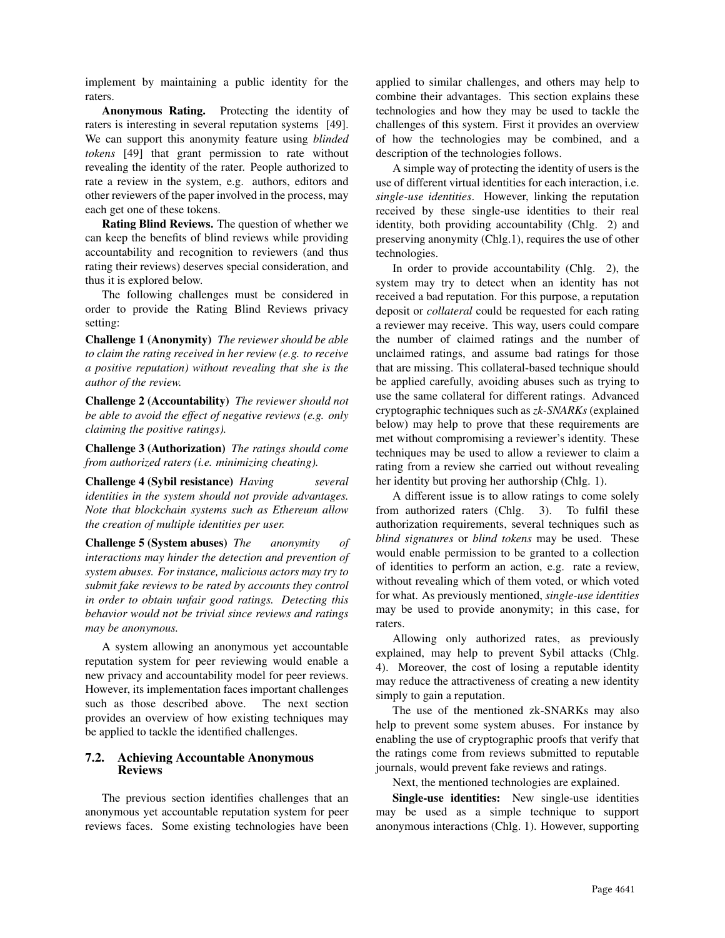implement by maintaining a public identity for the raters.

Anonymous Rating. Protecting the identity of raters is interesting in several reputation systems [49]. We can support this anonymity feature using *blinded tokens* [49] that grant permission to rate without revealing the identity of the rater. People authorized to rate a review in the system, e.g. authors, editors and other reviewers of the paper involved in the process, may each get one of these tokens.

Rating Blind Reviews. The question of whether we can keep the benefits of blind reviews while providing accountability and recognition to reviewers (and thus rating their reviews) deserves special consideration, and thus it is explored below.

The following challenges must be considered in order to provide the Rating Blind Reviews privacy setting:

Challenge 1 (Anonymity) *The reviewer should be able to claim the rating received in her review (e.g. to receive a positive reputation) without revealing that she is the author of the review.*

Challenge 2 (Accountability) *The reviewer should not be able to avoid the effect of negative reviews (e.g. only claiming the positive ratings).*

Challenge 3 (Authorization) *The ratings should come from authorized raters (i.e. minimizing cheating).*

Challenge 4 (Sybil resistance) *Having several identities in the system should not provide advantages. Note that blockchain systems such as Ethereum allow the creation of multiple identities per user.*

Challenge 5 (System abuses) *The anonymity of interactions may hinder the detection and prevention of system abuses. For instance, malicious actors may try to submit fake reviews to be rated by accounts they control in order to obtain unfair good ratings. Detecting this behavior would not be trivial since reviews and ratings may be anonymous.*

A system allowing an anonymous yet accountable reputation system for peer reviewing would enable a new privacy and accountability model for peer reviews. However, its implementation faces important challenges such as those described above. The next section provides an overview of how existing techniques may be applied to tackle the identified challenges.

### 7.2. Achieving Accountable Anonymous Reviews

The previous section identifies challenges that an anonymous yet accountable reputation system for peer reviews faces. Some existing technologies have been applied to similar challenges, and others may help to combine their advantages. This section explains these technologies and how they may be used to tackle the challenges of this system. First it provides an overview of how the technologies may be combined, and a description of the technologies follows.

A simple way of protecting the identity of users is the use of different virtual identities for each interaction, i.e. *single-use identities*. However, linking the reputation received by these single-use identities to their real identity, both providing accountability (Chlg. 2) and preserving anonymity (Chlg.1), requires the use of other technologies.

In order to provide accountability (Chlg. 2), the system may try to detect when an identity has not received a bad reputation. For this purpose, a reputation deposit or *collateral* could be requested for each rating a reviewer may receive. This way, users could compare the number of claimed ratings and the number of unclaimed ratings, and assume bad ratings for those that are missing. This collateral-based technique should be applied carefully, avoiding abuses such as trying to use the same collateral for different ratings. Advanced cryptographic techniques such as *zk-SNARKs* (explained below) may help to prove that these requirements are met without compromising a reviewer's identity. These techniques may be used to allow a reviewer to claim a rating from a review she carried out without revealing her identity but proving her authorship (Chlg. 1).

A different issue is to allow ratings to come solely from authorized raters (Chlg. 3). To fulfil these authorization requirements, several techniques such as *blind signatures* or *blind tokens* may be used. These would enable permission to be granted to a collection of identities to perform an action, e.g. rate a review, without revealing which of them voted, or which voted for what. As previously mentioned, *single-use identities* may be used to provide anonymity; in this case, for raters.

Allowing only authorized rates, as previously explained, may help to prevent Sybil attacks (Chlg. 4). Moreover, the cost of losing a reputable identity may reduce the attractiveness of creating a new identity simply to gain a reputation.

The use of the mentioned zk-SNARKs may also help to prevent some system abuses. For instance by enabling the use of cryptographic proofs that verify that the ratings come from reviews submitted to reputable journals, would prevent fake reviews and ratings.

Next, the mentioned technologies are explained.

Single-use identities: New single-use identities may be used as a simple technique to support anonymous interactions (Chlg. 1). However, supporting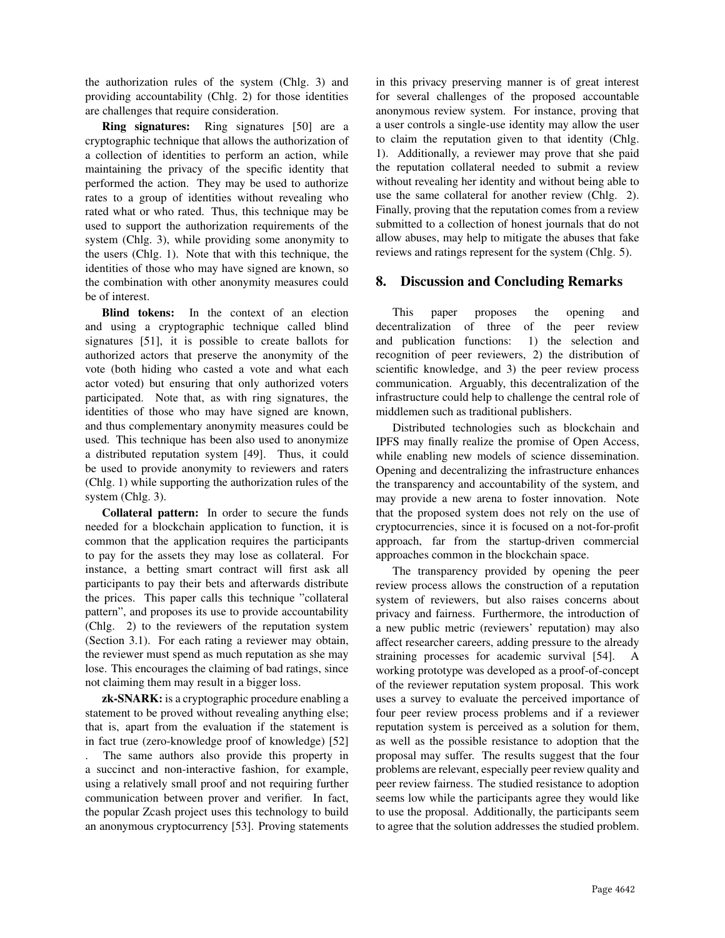the authorization rules of the system (Chlg. 3) and providing accountability (Chlg. 2) for those identities are challenges that require consideration.

Ring signatures: Ring signatures [50] are a cryptographic technique that allows the authorization of a collection of identities to perform an action, while maintaining the privacy of the specific identity that performed the action. They may be used to authorize rates to a group of identities without revealing who rated what or who rated. Thus, this technique may be used to support the authorization requirements of the system (Chlg. 3), while providing some anonymity to the users (Chlg. 1). Note that with this technique, the identities of those who may have signed are known, so the combination with other anonymity measures could be of interest.

Blind tokens: In the context of an election and using a cryptographic technique called blind signatures [51], it is possible to create ballots for authorized actors that preserve the anonymity of the vote (both hiding who casted a vote and what each actor voted) but ensuring that only authorized voters participated. Note that, as with ring signatures, the identities of those who may have signed are known, and thus complementary anonymity measures could be used. This technique has been also used to anonymize a distributed reputation system [49]. Thus, it could be used to provide anonymity to reviewers and raters (Chlg. 1) while supporting the authorization rules of the system (Chlg. 3).

Collateral pattern: In order to secure the funds needed for a blockchain application to function, it is common that the application requires the participants to pay for the assets they may lose as collateral. For instance, a betting smart contract will first ask all participants to pay their bets and afterwards distribute the prices. This paper calls this technique "collateral pattern", and proposes its use to provide accountability (Chlg. 2) to the reviewers of the reputation system (Section 3.1). For each rating a reviewer may obtain, the reviewer must spend as much reputation as she may lose. This encourages the claiming of bad ratings, since not claiming them may result in a bigger loss.

zk-SNARK: is a cryptographic procedure enabling a statement to be proved without revealing anything else; that is, apart from the evaluation if the statement is in fact true (zero-knowledge proof of knowledge) [52] . The same authors also provide this property in a succinct and non-interactive fashion, for example, using a relatively small proof and not requiring further communication between prover and verifier. In fact, the popular Zcash project uses this technology to build an anonymous cryptocurrency [53]. Proving statements in this privacy preserving manner is of great interest for several challenges of the proposed accountable anonymous review system. For instance, proving that a user controls a single-use identity may allow the user to claim the reputation given to that identity (Chlg. 1). Additionally, a reviewer may prove that she paid the reputation collateral needed to submit a review without revealing her identity and without being able to use the same collateral for another review (Chlg. 2). Finally, proving that the reputation comes from a review submitted to a collection of honest journals that do not allow abuses, may help to mitigate the abuses that fake reviews and ratings represent for the system (Chlg. 5).

## 8. Discussion and Concluding Remarks

This paper proposes the opening and decentralization of three of the peer review and publication functions: 1) the selection and recognition of peer reviewers, 2) the distribution of scientific knowledge, and 3) the peer review process communication. Arguably, this decentralization of the infrastructure could help to challenge the central role of middlemen such as traditional publishers.

Distributed technologies such as blockchain and IPFS may finally realize the promise of Open Access, while enabling new models of science dissemination. Opening and decentralizing the infrastructure enhances the transparency and accountability of the system, and may provide a new arena to foster innovation. Note that the proposed system does not rely on the use of cryptocurrencies, since it is focused on a not-for-profit approach, far from the startup-driven commercial approaches common in the blockchain space.

The transparency provided by opening the peer review process allows the construction of a reputation system of reviewers, but also raises concerns about privacy and fairness. Furthermore, the introduction of a new public metric (reviewers' reputation) may also affect researcher careers, adding pressure to the already straining processes for academic survival [54]. A working prototype was developed as a proof-of-concept of the reviewer reputation system proposal. This work uses a survey to evaluate the perceived importance of four peer review process problems and if a reviewer reputation system is perceived as a solution for them, as well as the possible resistance to adoption that the proposal may suffer. The results suggest that the four problems are relevant, especially peer review quality and peer review fairness. The studied resistance to adoption seems low while the participants agree they would like to use the proposal. Additionally, the participants seem to agree that the solution addresses the studied problem.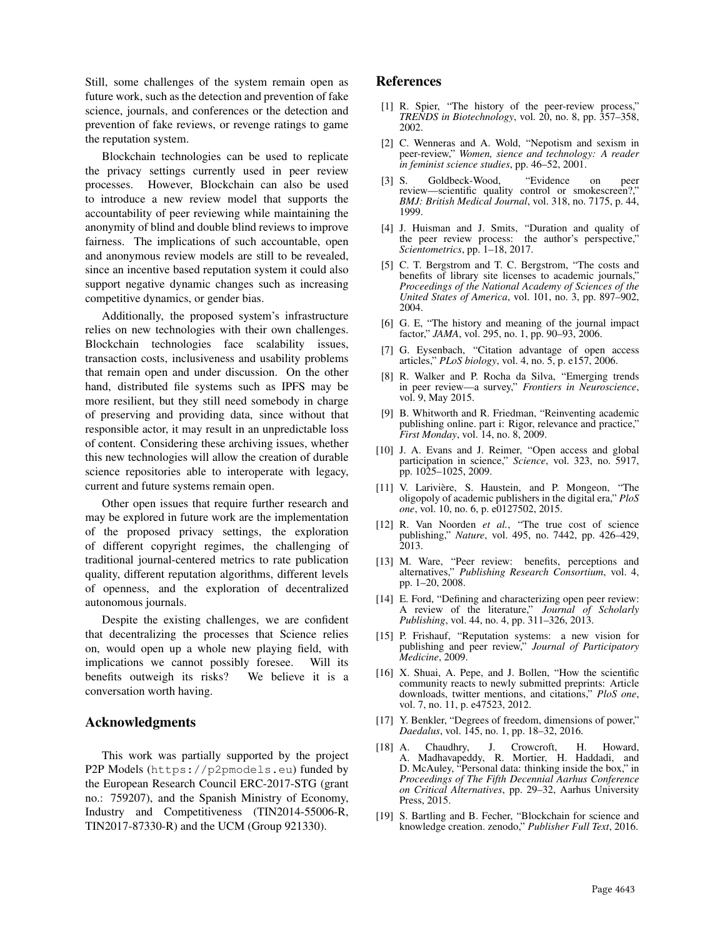Still, some challenges of the system remain open as future work, such as the detection and prevention of fake science, journals, and conferences or the detection and prevention of fake reviews, or revenge ratings to game the reputation system.

Blockchain technologies can be used to replicate the privacy settings currently used in peer review processes. However, Blockchain can also be used to introduce a new review model that supports the accountability of peer reviewing while maintaining the anonymity of blind and double blind reviews to improve fairness. The implications of such accountable, open and anonymous review models are still to be revealed, since an incentive based reputation system it could also support negative dynamic changes such as increasing competitive dynamics, or gender bias.

Additionally, the proposed system's infrastructure relies on new technologies with their own challenges. Blockchain technologies face scalability issues, transaction costs, inclusiveness and usability problems that remain open and under discussion. On the other hand, distributed file systems such as IPFS may be more resilient, but they still need somebody in charge of preserving and providing data, since without that responsible actor, it may result in an unpredictable loss of content. Considering these archiving issues, whether this new technologies will allow the creation of durable science repositories able to interoperate with legacy, current and future systems remain open.

Other open issues that require further research and may be explored in future work are the implementation of the proposed privacy settings, the exploration of different copyright regimes, the challenging of traditional journal-centered metrics to rate publication quality, different reputation algorithms, different levels of openness, and the exploration of decentralized autonomous journals.

Despite the existing challenges, we are confident that decentralizing the processes that Science relies on, would open up a whole new playing field, with implications we cannot possibly foresee. Will its benefits outweigh its risks? We believe it is a conversation worth having.

### Acknowledgments

This work was partially supported by the project P2P Models (https://p2pmodels.eu) funded by the European Research Council ERC-2017-STG (grant no.: 759207), and the Spanish Ministry of Economy, Industry and Competitiveness (TIN2014-55006-R, TIN2017-87330-R) and the UCM (Group 921330).

## References

- [1] R. Spier, "The history of the peer-review process," *TRENDS in Biotechnology*, vol. 20, no. 8, pp. 357–358, 2002.
- [2] C. Wenneras and A. Wold, "Nepotism and sexism in peer-review," *Women, sience and technology: A reader in feminist science studies*, pp. 46–52, 2001.
- [3] S. Goldbeck-Wood, "Evidence on peer review—scientific quality control or smokescreen?," *BMJ: British Medical Journal*, vol. 318, no. 7175, p. 44, 1999.
- [4] J. Huisman and J. Smits, "Duration and quality of the peer review process: the author's perspective," *Scientometrics*, pp. 1–18, 2017.
- [5] C. T. Bergstrom and T. C. Bergstrom, "The costs and benefits of library site licenses to academic journals," *Proceedings of the National Academy of Sciences of the United States of America*, vol. 101, no. 3, pp. 897–902, 2004.
- [6] G. E, "The history and meaning of the journal impact factor," *JAMA*, vol. 295, no. 1, pp. 90–93, 2006.
- [7] G. Eysenbach, "Citation advantage of open access articles," *PLoS biology*, vol. 4, no. 5, p. e157, 2006.
- [8] R. Walker and P. Rocha da Silva, "Emerging trends in peer review—a survey," *Frontiers in Neuroscience*, vol. 9, May 2015.
- [9] B. Whitworth and R. Friedman, "Reinventing academic publishing online. part i: Rigor, relevance and practice," *First Monday*, vol. 14, no. 8, 2009.
- [10] J. A. Evans and J. Reimer, "Open access and global participation in science," *Science*, vol. 323, no. 5917, pp. 1025–1025, 2009.
- [11] V. Larivière, S. Haustein, and P. Mongeon, "The oligopoly of academic publishers in the digital era," *PloS one*, vol. 10, no. 6, p. e0127502, 2015.
- [12] R. Van Noorden *et al.*, "The true cost of science publishing," *Nature*, vol. 495, no. 7442, pp. 426–429, 2013.
- [13] M. Ware, "Peer review: benefits, perceptions and alternatives," *Publishing Research Consortium*, vol. 4, pp. 1–20, 2008.
- [14] E. Ford, "Defining and characterizing open peer review: A review of the literature," *Journal of Scholarly Publishing*, vol. 44, no. 4, pp. 311–326, 2013.
- [15] P. Frishauf, "Reputation systems: a new vision for publishing and peer review," *Journal of Participatory Medicine*, 2009.
- [16] X. Shuai, A. Pepe, and J. Bollen, "How the scientific community reacts to newly submitted preprints: Article downloads, twitter mentions, and citations," *PloS one*, vol. 7, no. 11, p. e47523, 2012.
- [17] Y. Benkler, "Degrees of freedom, dimensions of power," *Daedalus*, vol. 145, no. 1, pp. 18–32, 2016.
- [18] A. Chaudhry, J. Crowcroft, H. Howard, A. Madhavapeddy, R. Mortier, H. Haddadi, and D. McAuley, "Personal data: thinking inside the box," in *Proceedings of The Fifth Decennial Aarhus Conference on Critical Alternatives*, pp. 29–32, Aarhus University Press, 2015.
- [19] S. Bartling and B. Fecher, "Blockchain for science and knowledge creation. zenodo," *Publisher Full Text*, 2016.